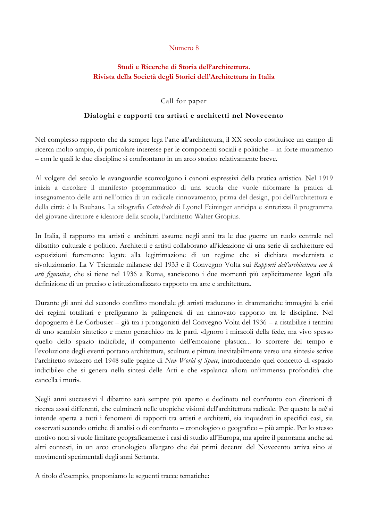#### Numero 8

# **Studi e Ricerche di Storia dell'architettura. Rivista della Società degli Storici dell'Architettura in Italia**

### Call for paper

## **Dialoghi e rapporti tra artisti e architetti nel Novecento**

Nel complesso rapporto che da sempre lega l'arte all'architettura, il XX secolo costituisce un campo di ricerca molto ampio, di particolare interesse per le componenti sociali e politiche – in forte mutamento – con le quali le due discipline si confrontano in un arco storico relativamente breve.

Al volgere del secolo le avanguardie sconvolgono i canoni espressivi della pratica artistica. Nel 1919 inizia a circolare il manifesto programmatico di una scuola che vuole riformare la pratica di insegnamento delle arti nell'ottica di un radicale rinnovamento, prima del design, poi dell'architettura e della città: è la Bauhaus. La xilografia *Cattedrale* di Lyonel Feininger anticipa e sintetizza il programma del giovane direttore e ideatore della scuola, l'architetto Walter Gropius.

In Italia, il rapporto tra artisti e architetti assume negli anni tra le due guerre un ruolo centrale nel dibattito culturale e politico. Architetti e artisti collaborano all'ideazione di una serie di architetture ed esposizioni fortemente legate alla legittimazione di un regime che si dichiara modernista e rivoluzionario. La V Triennale milanese del 1933 e il Convegno Volta sui *Rapporti dell'architettura con le arti figurative*, che si tiene nel 1936 a Roma, sanciscono i due momenti più esplicitamente legati alla definizione di un preciso e istituzionalizzato rapporto tra arte e architettura.

Durante gli anni del secondo conflitto mondiale gli artisti traducono in drammatiche immagini la crisi dei regimi totalitari e prefigurano la palingenesi di un rinnovato rapporto tra le discipline. Nel dopoguerra è Le Corbusier – già tra i protagonisti del Convegno Volta del 1936 – a ristabilire i termini di uno scambio sintetico e meno gerarchico tra le parti. «Ignoro i miracoli della fede, ma vivo spesso quello dello spazio indicibile, il compimento dell'emozione plastica... lo scorrere del tempo e l'evoluzione degli eventi portano architettura, scultura e pittura inevitabilmente verso una sintesi» scrive l'architetto svizzero nel 1948 sulle pagine di *New World of Space*, introducendo quel concetto di «spazio indicibile» che si genera nella sintesi delle Arti e che «spalanca allora un'immensa profondità che cancella i muri».

Negli anni successivi il dibattito sarà sempre più aperto e declinato nel confronto con direzioni di ricerca assai differenti, che culminerà nelle utopiche visioni dell'architettura radicale. Per questo la *call* si intende aperta a tutti i fenomeni di rapporti tra artisti e architetti, sia inquadrati in specifici casi, sia osservati secondo ottiche di analisi o di confronto – cronologico o geografico – più ampie. Per lo stesso motivo non si vuole limitare geograficamente i casi di studio all'Europa, ma aprire il panorama anche ad altri contesti, in un arco cronologico allargato che dai primi decenni del Novecento arriva sino ai movimenti sperimentali degli anni Settanta.

A titolo d'esempio, proponiamo le seguenti tracce tematiche: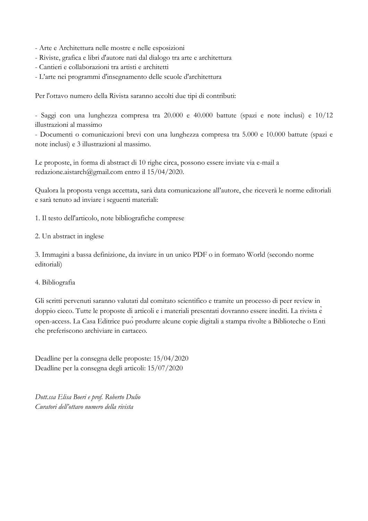- Arte e Architettura nelle mostre e nelle esposizioni
- Riviste, grafica e libri d'autore nati dal dialogo tra arte e architettura
- Cantieri e collaborazioni tra artisti e architetti
- L'arte nei programmi d'insegnamento delle scuole d'architettura

Per l'ottavo numero della Rivista saranno accolti due tipi di contributi:

- Saggi con una lunghezza compresa tra 20.000 e 40.000 battute (spazi e note inclusi) e 10/12 illustrazioni al massimo

- Documenti o comunicazioni brevi con una lunghezza compresa tra 5.000 e 10.000 battute (spazi e note inclusi) e 3 illustrazioni al massimo.

Le proposte, in forma di abstract di 10 righe circa, possono essere inviate via e-mail a redazione.aistarch@gmail.com entro il 15/04/2020.

Qualora la proposta venga accettata, sarà data comunicazione all'autore, che riceverà le norme editoriali e sarà tenuto ad inviare i seguenti materiali:

1. Il testo dell'articolo, note bibliografiche comprese

2. Un abstract in inglese

3. Immagini a bassa definizione, da inviare in un unico PDF o in formato World (secondo norme editoriali)

### 4. Bibliografia

Gli scritti pervenuti saranno valutati dal comitato scientifico e tramite un processo di peer review in doppio cieco. Tutte le proposte di articoli e i materiali presentati dovranno essere inediti. La rivista è open-access. La Casa Editrice puòprodurre alcune copie digitali a stampa rivolte a Biblioteche o Enti che preferiscono archiviare in cartaceo.

Deadline per la consegna delle proposte: 15/04/2020 Deadline per la consegna degli articoli: 15/07/2020

*Dott.ssa Elisa Boeri e prof. Roberto Dulio Curatori dell'ottavo numero della rivista*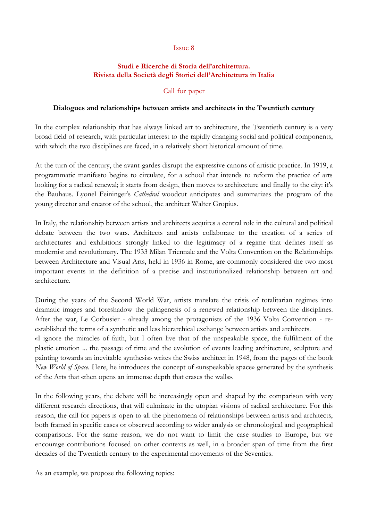#### Issue 8

### **Studi e Ricerche di Storia dell'architettura. Rivista della Società degli Storici dell'Architettura in Italia**

### Call for paper

#### **Dialogues and relationships between artists and architects in the Twentieth century**

In the complex relationship that has always linked art to architecture, the Twentieth century is a very broad field of research, with particular interest to the rapidly changing social and political components, with which the two disciplines are faced, in a relatively short historical amount of time.

At the turn of the century, the avant-gardes disrupt the expressive canons of artistic practice. In 1919, a programmatic manifesto begins to circulate, for a school that intends to reform the practice of arts looking for a radical renewal; it starts from design, then moves to architecture and finally to the city: it's the Bauhaus. Lyonel Feininger's *Cathedral* woodcut anticipates and summarizes the program of the young director and creator of the school, the architect Walter Gropius.

In Italy, the relationship between artists and architects acquires a central role in the cultural and political debate between the two wars. Architects and artists collaborate to the creation of a series of architectures and exhibitions strongly linked to the legitimacy of a regime that defines itself as modernist and revolutionary. The 1933 Milan Triennale and the Volta Convention on the Relationships between Architecture and Visual Arts, held in 1936 in Rome, are commonly considered the two most important events in the definition of a precise and institutionalized relationship between art and architecture.

During the years of the Second World War, artists translate the crisis of totalitarian regimes into dramatic images and foreshadow the palingenesis of a renewed relationship between the disciplines. After the war, Le Corbusier - already among the protagonists of the 1936 Volta Convention - reestablished the terms of a synthetic and less hierarchical exchange between artists and architects.

«I ignore the miracles of faith, but I often live that of the unspeakable space, the fulfilment of the plastic emotion ... the passage of time and the evolution of events leading architecture, sculpture and painting towards an inevitable synthesis» writes the Swiss architect in 1948, from the pages of the book *New World of Space*. Here, he introduces the concept of «unspeakable space» generated by the synthesis of the Arts that «then opens an immense depth that erases the walls».

In the following years, the debate will be increasingly open and shaped by the comparison with very different research directions, that will culminate in the utopian visions of radical architecture. For this reason, the call for papers is open to all the phenomena of relationships between artists and architects, both framed in specific cases or observed according to wider analysis or chronological and geographical comparisons. For the same reason, we do not want to limit the case studies to Europe, but we encourage contributions focused on other contexts as well, in a broader span of time from the first decades of the Twentieth century to the experimental movements of the Seventies.

As an example, we propose the following topics: